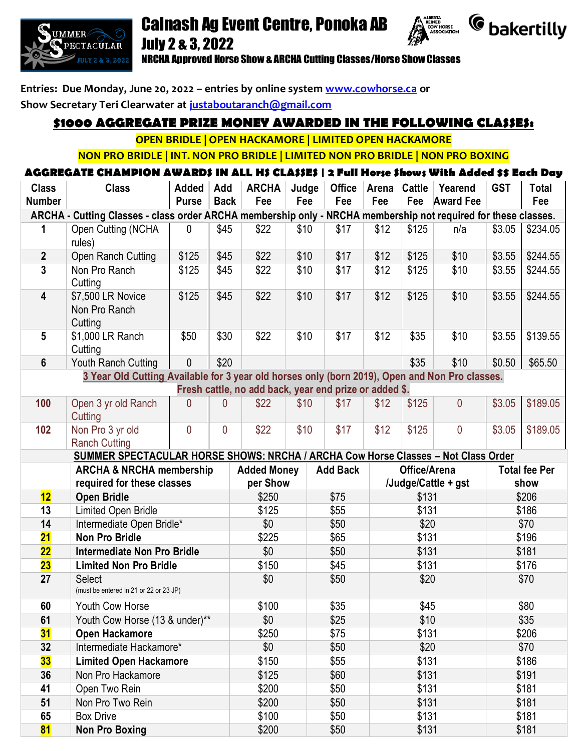

# Calnash Ag Event Centre, Ponoka AB July 2 & 3, 2022





NRCHA Approved Horse Show & ARCHA Cutting Classes/Horse Show Classes

**Entries: Due Monday, June 20, 2022 – entries by online system [www.cowhorse.ca](http://www.cowhorse.ca/) or Show Secretary Teri Clearwater at [justaboutaranch@gmail.com](mailto:justaboutaranch@gmail.com)**

## **\$1000 AGGREGATE PRIZE MONEY AWARDED IN THE FOLLOWING CLASSES:**

**OPEN BRIDLE | OPEN HACKAMORE | LIMITED OPEN HACKAMORE** 

**NON PRO BRIDLE | INT. NON PRO BRIDLE | LIMITED NON PRO BRIDLE | NON PRO BOXING**

### **AGGREGATE CHAMPION AWARDS IN ALL HS CLASSES | 2 Full Horse Shows With Added \$\$ Each Day**

| <b>Class</b><br><b>Number</b>                                                                                  | <b>Class</b>                                            | Added<br><b>Purse</b> | Add<br><b>Back</b> | <b>ARCHA</b><br>Fee                                    | Judge<br>Fee | <b>Office</b><br>Fee | Arena<br>Fee        | Cattle<br>Fee | Yearend<br><b>Award Fee</b> | <b>GST</b> | <b>Total</b><br>Fee  |  |
|----------------------------------------------------------------------------------------------------------------|---------------------------------------------------------|-----------------------|--------------------|--------------------------------------------------------|--------------|----------------------|---------------------|---------------|-----------------------------|------------|----------------------|--|
| ARCHA - Cutting Classes - class order ARCHA membership only - NRCHA membership not required for these classes. |                                                         |                       |                    |                                                        |              |                      |                     |               |                             |            |                      |  |
| 1                                                                                                              | Open Cutting (NCHA<br>rules)                            | $\mathbf{0}$          | \$45               | \$22                                                   | \$10         | \$17                 | \$12                | \$125         | n/a                         | \$3.05     | \$234.05             |  |
| $\boldsymbol{2}$                                                                                               | Open Ranch Cutting                                      | \$125                 | \$45               | \$22                                                   | \$10         | \$17                 | \$12                | \$125         | \$10                        | \$3.55     | \$244.55             |  |
| 3                                                                                                              | Non Pro Ranch<br>Cutting                                | \$125                 | \$45               | \$22                                                   | \$10         | \$17                 | \$12                | \$125         | \$10                        | \$3.55     | \$244.55             |  |
| $\overline{\mathbf{4}}$                                                                                        | \$7,500 LR Novice<br>Non Pro Ranch<br>Cutting           | \$125                 | \$45               | \$22                                                   | \$10         | \$17                 | \$12                | \$125         | \$10                        | \$3.55     | \$244.55             |  |
| 5                                                                                                              | \$1,000 LR Ranch<br>Cutting                             | \$50                  | \$30               | \$22                                                   | \$10         | \$17                 | \$12                | \$35          | \$10                        | \$3.55     | \$139.55             |  |
| $6\phantom{1}$                                                                                                 | Youth Ranch Cutting                                     | $\mathbf 0$           | \$20               |                                                        |              |                      |                     | \$35          | \$10                        | \$0.50     | \$65.50              |  |
| 3 Year Old Cutting Available for 3 year old horses only (born 2019), Open and Non Pro classes.                 |                                                         |                       |                    |                                                        |              |                      |                     |               |                             |            |                      |  |
|                                                                                                                |                                                         |                       |                    | Fresh cattle, no add back, year end prize or added \$. |              |                      |                     |               |                             |            |                      |  |
| 100                                                                                                            | Open 3 yr old Ranch<br>Cutting                          | 0                     | 0                  | \$22                                                   | \$10         | \$17                 | \$12                | \$125         | 0                           | \$3.05     | \$189.05             |  |
| 102                                                                                                            | Non Pro 3 yr old<br><b>Ranch Cutting</b>                | $\overline{0}$        | 0                  | \$22                                                   | \$10         | \$17                 | \$12                | \$125         | 0                           | \$3.05     | \$189.05             |  |
| SUMMER SPECTACULAR HORSE SHOWS: NRCHA / ARCHA Cow Horse Classes - Not Class Order                              |                                                         |                       |                    |                                                        |              |                      |                     |               |                             |            |                      |  |
|                                                                                                                | <b>ARCHA &amp; NRCHA membership</b>                     |                       |                    | <b>Added Money</b>                                     |              | <b>Add Back</b>      |                     | Office/Arena  |                             |            | <b>Total fee Per</b> |  |
|                                                                                                                | required for these classes                              |                       |                    | per Show                                               |              |                      | /Judge/Cattle + gst |               | show                        |            |                      |  |
| 12                                                                                                             | <b>Open Bridle</b>                                      |                       |                    | \$250                                                  |              | \$75                 | \$131               |               | \$206                       |            |                      |  |
| 13                                                                                                             | Limited Open Bridle                                     |                       |                    | \$125                                                  |              | \$55                 | \$131               |               | \$186                       |            |                      |  |
| 14                                                                                                             | Intermediate Open Bridle*                               |                       |                    | \$0                                                    |              | \$50                 |                     | \$20          |                             | \$70       |                      |  |
| 21                                                                                                             | <b>Non Pro Bridle</b>                                   |                       |                    | \$225                                                  |              | \$65                 |                     | \$131         |                             | \$196      |                      |  |
| 22                                                                                                             | <b>Intermediate Non Pro Bridle</b>                      |                       |                    | \$0                                                    |              | \$50                 | \$131               |               |                             | \$181      |                      |  |
| 23                                                                                                             | <b>Limited Non Pro Bridle</b>                           |                       |                    | \$150                                                  |              | \$45                 |                     | \$131         |                             | \$176      |                      |  |
| 27                                                                                                             | <b>Select</b><br>(must be entered in 21 or 22 or 23 JP) |                       |                    | \$0                                                    |              | \$50                 | \$20                |               | \$70                        |            |                      |  |
| 60                                                                                                             | Youth Cow Horse                                         |                       |                    | \$100                                                  |              | \$35                 | \$45                |               |                             |            | \$80                 |  |
| 61                                                                                                             | Youth Cow Horse (13 & under)**                          |                       |                    | \$0                                                    |              | \$25                 | \$10                |               |                             | \$35       |                      |  |
| 31                                                                                                             | Open Hackamore                                          |                       |                    | \$250                                                  |              | \$75                 | \$131               |               | \$206                       |            |                      |  |
| 32                                                                                                             | Intermediate Hackamore*                                 |                       |                    | \$0                                                    |              | \$50                 | \$20                |               |                             | \$70       |                      |  |
| 33                                                                                                             | <b>Limited Open Hackamore</b>                           |                       |                    | \$150                                                  |              | \$55                 |                     | \$131         |                             | \$186      |                      |  |
| 36                                                                                                             | Non Pro Hackamore                                       |                       |                    | \$125                                                  |              | \$60                 | \$131               |               |                             | \$191      |                      |  |
| 41                                                                                                             | Open Two Rein                                           |                       |                    | \$200                                                  |              | \$50                 | \$131               |               |                             | \$181      |                      |  |
| 51                                                                                                             | Non Pro Two Rein                                        |                       |                    | \$200                                                  |              | \$50                 | \$131               |               |                             | \$181      |                      |  |
| 65                                                                                                             | <b>Box Drive</b>                                        |                       |                    | \$100                                                  |              | \$50                 | \$131               |               |                             | \$181      |                      |  |
| 81                                                                                                             | <b>Non Pro Boxing</b>                                   |                       |                    | \$200                                                  |              | \$50                 | \$131               |               |                             | \$181      |                      |  |